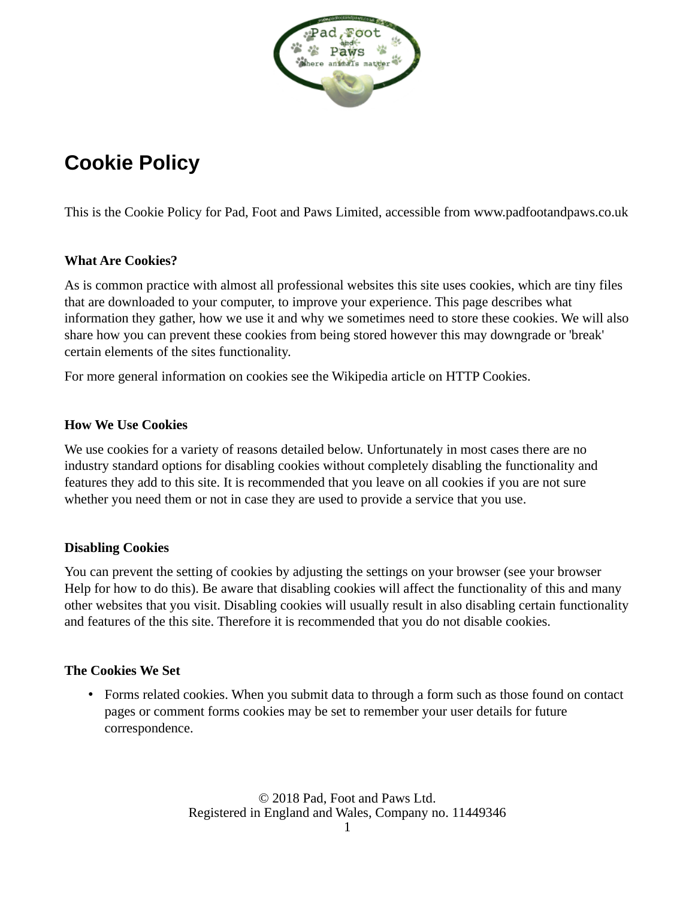

# **Cookie Policy**

This is the Cookie Policy for Pad, Foot and Paws Limited, accessible from www.padfootandpaws.co.uk

# **What Are Cookies?**

As is common practice with almost all professional websites this site uses cookies, which are tiny files that are downloaded to your computer, to improve your experience. This page describes what information they gather, how we use it and why we sometimes need to store these cookies. We will also share how you can prevent these cookies from being stored however this may downgrade or 'break' certain elements of the sites functionality.

For more general information on cookies see the Wikipedia article on HTTP Cookies.

### **How We Use Cookies**

We use cookies for a variety of reasons detailed below. Unfortunately in most cases there are no industry standard options for disabling cookies without completely disabling the functionality and features they add to this site. It is recommended that you leave on all cookies if you are not sure whether you need them or not in case they are used to provide a service that you use.

### **Disabling Cookies**

You can prevent the setting of cookies by adjusting the settings on your browser (see your browser Help for how to do this). Be aware that disabling cookies will affect the functionality of this and many other websites that you visit. Disabling cookies will usually result in also disabling certain functionality and features of the this site. Therefore it is recommended that you do not disable cookies.

### **The Cookies We Set**

• Forms related cookies. When you submit data to through a form such as those found on contact pages or comment forms cookies may be set to remember your user details for future correspondence.